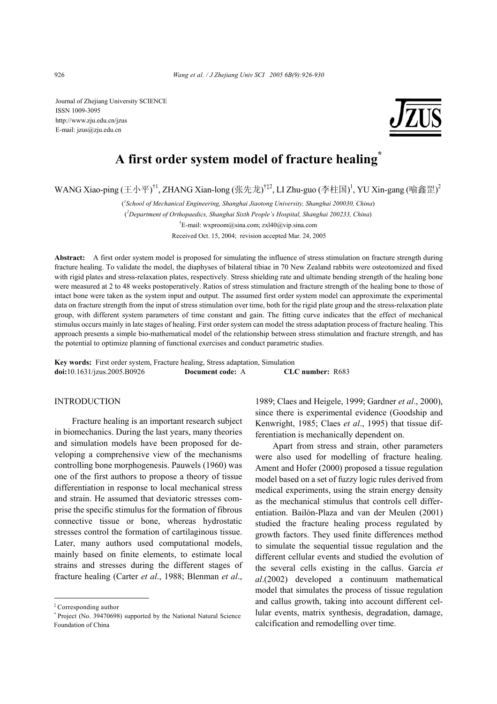Journal of Zhejiang University SCIENCE ISSN 1009-3095 http://www.zju.edu.cn/jzus E-mail: jzus@zju.edu.cn



# **A first order system model of fracture healing\***

WANG Xiao-ping (王小平)<sup>†1</sup>, ZHANG Xian-long (张先龙)<sup>†‡2</sup>, LI Zhu-guo (李柱国)<sup>1</sup>, YU Xin-gang (喻鑫罡)<sup>2</sup>

( *1 School of Mechanical Engineering, Shanghai Jiaotong University, Shanghai 200030, China*) ( *2 Department of Orthopaedics, Shanghai Sixth People's Hospital, Shanghai 200233, China*) † E-mail: wxproom@sina.com; zxl40@vip.sina.com Received Oct. 15, 2004; revision accepted Mar. 24, 2005

**Abstract:** A first order system model is proposed for simulating the influence of stress stimulation on fracture strength during fracture healing. To validate the model, the diaphyses of bilateral tibiae in 70 New Zealand rabbits were osteotomized and fixed with rigid plates and stress-relaxation plates, respectively. Stress shielding rate and ultimate bending strength of the healing bone were measured at 2 to 48 weeks postoperatively. Ratios of stress stimulation and fracture strength of the healing bone to those of intact bone were taken as the system input and output. The assumed first order system model can approximate the experimental data on fracture strength from the input of stress stimulation over time, both for the rigid plate group and the stress-relaxation plate group, with different system parameters of time constant and gain. The fitting curve indicates that the effect of mechanical stimulus occurs mainly in late stages of healing. First order system can model the stress adaptation process of fracture healing. This approach presents a simple bio-mathematical model of the relationship between stress stimulation and fracture strength, and has the potential to optimize planning of functional exercises and conduct parametric studies.

**Key words:** First order system, Fracture healing, Stress adaptation, Simulation **doi:**10.1631/jzus.2005.B0926 **Document code:** A **CLC number:** R683

## INTRODUCTION

Fracture healing is an important research subject in biomechanics. During the last years, many theories and simulation models have been proposed for developing a comprehensive view of the mechanisms controlling bone morphogenesis. Pauwels (1960) was one of the first authors to propose a theory of tissue differentiation in response to local mechanical stress and strain. He assumed that deviatoric stresses comprise the specific stimulus for the formation of fibrous connective tissue or bone, whereas hydrostatic stresses control the formation of cartilaginous tissue. Later, many authors used computational models, mainly based on finite elements, to estimate local strains and stresses during the different stages of fracture healing (Carter *et al*., 1988; Blenman *et al*.,

1989; Claes and Heigele, 1999; Gardner *et al*., 2000), since there is experimental evidence (Goodship and Kenwright, 1985; Claes *et al*., 1995) that tissue differentiation is mechanically dependent on.

Apart from stress and strain, other parameters were also used for modelling of fracture healing. Ament and Hofer (2000) proposed a tissue regulation model based on a set of fuzzy logic rules derived from medical experiments, using the strain energy density as the mechanical stimulus that controls cell differentiation. Bailón-Plaza and van der Meulen (2001) studied the fracture healing process regulated by growth factors. They used finite differences method to simulate the sequential tissue regulation and the different cellular events and studied the evolution of the several cells existing in the callus. García *et al*.(2002) developed a continuum mathematical model that simulates the process of tissue regulation and callus growth, taking into account different cellular events, matrix synthesis, degradation, damage, calcification and remodelling over time.

<sup>‡</sup> Corresponding author

<sup>\*</sup> Project (No. 39470698) supported by the National Natural Science Foundation of China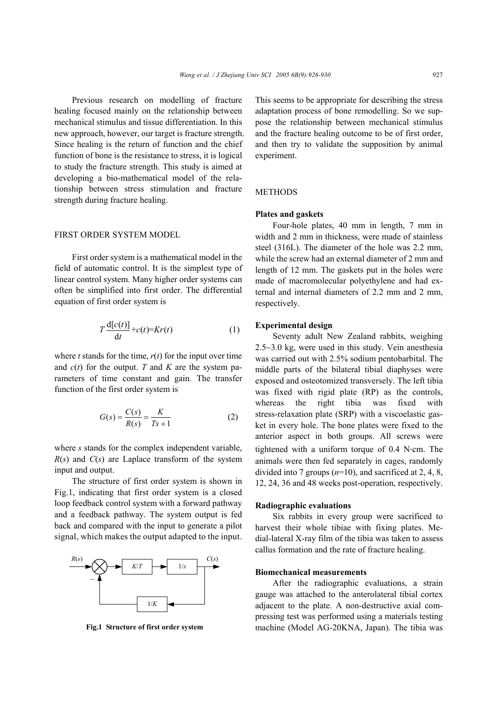Previous research on modelling of fracture healing focused mainly on the relationship between mechanical stimulus and tissue differentiation. In this new approach, however, our target is fracture strength. Since healing is the return of function and the chief function of bone is the resistance to stress, it is logical to study the fracture strength. This study is aimed at developing a bio-mathematical model of the relationship between stress stimulation and fracture strength during fracture healing.

#### FIRST ORDER SYSTEM MODEL

First order system is a mathematical model in the field of automatic control. It is the simplest type of linear control system. Many higher order systems can often be simplified into first order. The differential equation of first order system is

$$
T\frac{\mathrm{d}[c(t)]}{\mathrm{d}t} + c(t) = Kr(t) \tag{1}
$$

where *t* stands for the time,  $r(t)$  for the input over time and  $c(t)$  for the output. *T* and *K* are the system parameters of time constant and gain. The transfer function of the first order system is

$$
G(s) = \frac{C(s)}{R(s)} = \frac{K}{Ts + 1}
$$
 (2)

where *s* stands for the complex independent variable, *R*(*s*) and *C*(*s*) are Laplace transform of the system input and output.

The structure of first order system is shown in Fig.1, indicating that first order system is a closed loop feedback control system with a forward pathway and a feedback pathway. The system output is fed back and compared with the input to generate a pilot signal, which makes the output adapted to the input.



This seems to be appropriate for describing the stress adaptation process of bone remodelling. So we suppose the relationship between mechanical stimulus and the fracture healing outcome to be of first order, and then try to validate the supposition by animal experiment.

## **METHODS**

#### **Plates and gaskets**

Four-hole plates, 40 mm in length, 7 mm in width and 2 mm in thickness, were made of stainless steel (316L). The diameter of the hole was 2.2 mm, while the screw had an external diameter of 2 mm and length of 12 mm. The gaskets put in the holes were made of macromolecular polyethylene and had external and internal diameters of 2.2 mm and 2 mm, respectively.

## **Experimental design**

Seventy adult New Zealand rabbits, weighing 2.5~3.0 kg, were used in this study. Vein anesthesia was carried out with 2.5% sodium pentobarbital. The middle parts of the bilateral tibial diaphyses were exposed and osteotomized transversely. The left tibia was fixed with rigid plate (RP) as the controls, whereas the right tibia was fixed with stress-relaxation plate (SRP) with a viscoelastic gasket in every hole. The bone plates were fixed to the anterior aspect in both groups. All screws were tightened with a uniform torque of 0.4 N⋅cm. The animals were then fed separately in cages, randomly divided into 7 groups (*n*=10), and sacrificed at 2, 4, 8, 12, 24, 36 and 48 weeks post-operation, respectively.

#### **Radiographic evaluations**

Six rabbits in every group were sacrificed to harvest their whole tibiae with fixing plates. Medial-lateral X-ray film of the tibia was taken to assess callus formation and the rate of fracture healing.

## **Biomechanical measurements**

After the radiographic evaluations, a strain gauge was attached to the anterolateral tibial cortex adjacent to the plate. A non-destructive axial compressing test was performed using a materials testing **Fig.1 Structure of first order system** machine (Model AG-20KNA, Japan). The tibia was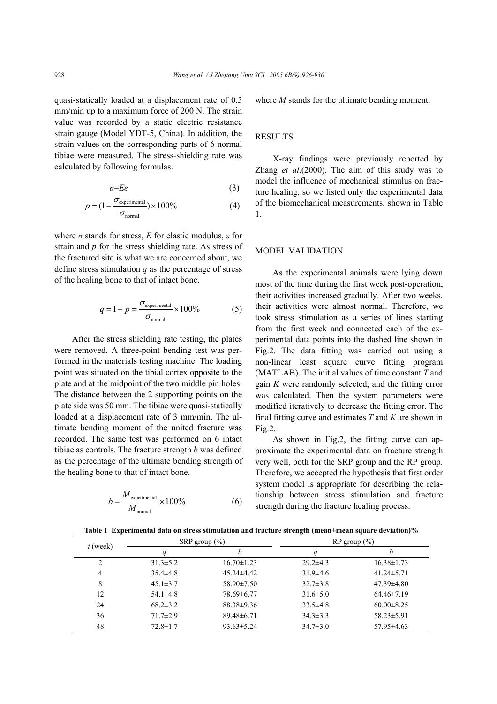quasi-statically loaded at a displacement rate of 0.5 mm/min up to a maximum force of 200 N. The strain value was recorded by a static electric resistance strain gauge (Model YDT-5, China). In addition, the strain values on the corresponding parts of 6 normal tibiae were measured. The stress-shielding rate was calculated by following formulas.

$$
\sigma = E\varepsilon \tag{3}
$$

$$
p = (1 - \frac{\sigma_{\text{experimental}}}{\sigma_{\text{normal}}}) \times 100\%
$$
 (4)

where  $\sigma$  stands for stress, *E* for elastic modulus,  $\varepsilon$  for strain and *p* for the stress shielding rate. As stress of the fractured site is what we are concerned about, we define stress stimulation *q* as the percentage of stress of the healing bone to that of intact bone.

$$
q = 1 - p = \frac{\sigma_{\text{experimental}}}{\sigma_{\text{normal}}} \times 100\% \tag{5}
$$

After the stress shielding rate testing, the plates were removed. A three-point bending test was performed in the materials testing machine. The loading point was situated on the tibial cortex opposite to the plate and at the midpoint of the two middle pin holes. The distance between the 2 supporting points on the plate side was 50 mm. The tibiae were quasi-statically loaded at a displacement rate of 3 mm/min. The ultimate bending moment of the united fracture was recorded. The same test was performed on 6 intact tibiae as controls. The fracture strength *b* was defined as the percentage of the ultimate bending strength of the healing bone to that of intact bone.

$$
b = \frac{M_{\text{experimental}}}{M_{\text{normal}}} \times 100\%
$$
 (6)

where *M* stands for the ultimate bending moment.

#### **RESULTS**

X-ray findings were previously reported by Zhang *et al*.(2000). The aim of this study was to model the influence of mechanical stimulus on fracture healing, so we listed only the experimental data of the biomechanical measurements, shown in Table 1.

## MODEL VALIDATION

As the experimental animals were lying down most of the time during the first week post-operation, their activities increased gradually. After two weeks, their activities were almost normal. Therefore, we took stress stimulation as a series of lines starting from the first week and connected each of the experimental data points into the dashed line shown in Fig.2. The data fitting was carried out using a non-linear least square curve fitting program (MATLAB). The initial values of time constant *T* and gain *K* were randomly selected, and the fitting error was calculated. Then the system parameters were modified iteratively to decrease the fitting error. The final fitting curve and estimates *T* and *K* are shown in Fig.2.

As shown in Fig.2, the fitting curve can approximate the experimental data on fracture strength very well, both for the SRP group and the RP group. Therefore, we accepted the hypothesis that first order system model is appropriate for describing the relationship between stress stimulation and fracture strength during the fracture healing process.

**Table 1 Experimental data on stress stimulation and fracture strength (mean±mean square deviation)%** 

| $t$ (week) | SRP group $(\% )$ |                  | $RP$ group $(\% )$ |                  |
|------------|-------------------|------------------|--------------------|------------------|
|            |                   | h                |                    | n                |
|            | $31.3 \pm 5.2$    | $16.70 \pm 1.23$ | $29.2 \pm 4.3$     | $16.38 \pm 1.73$ |
| 4          | $35.4\pm4.8$      | $45.24 \pm 4.42$ | $31.9\pm4.6$       | $41.24 \pm 5.71$ |
| 8          | $45.1 \pm 3.7$    | $58.90 \pm 7.50$ | $32.7 \pm 3.8$     | $47.39 \pm 4.80$ |
| 12         | $54.1 \pm 4.8$    | 78.69±6.77       | $31.6 \pm 5.0$     | $64.46\pm7.19$   |
| 24         | $68.2 \pm 3.2$    | $88.38 \pm 9.36$ | $33.5 \pm 4.8$     | $60.00 \pm 8.25$ |
| 36         | $71.7 \pm 2.9$    | $89.48\pm 6.71$  | $34.3 \pm 3.3$     | $58.23 \pm 5.91$ |
| 48         | $72.8 \pm 1.7$    | $93.63 \pm 5.24$ | $34.7 \pm 3.0$     | $57.95\pm4.63$   |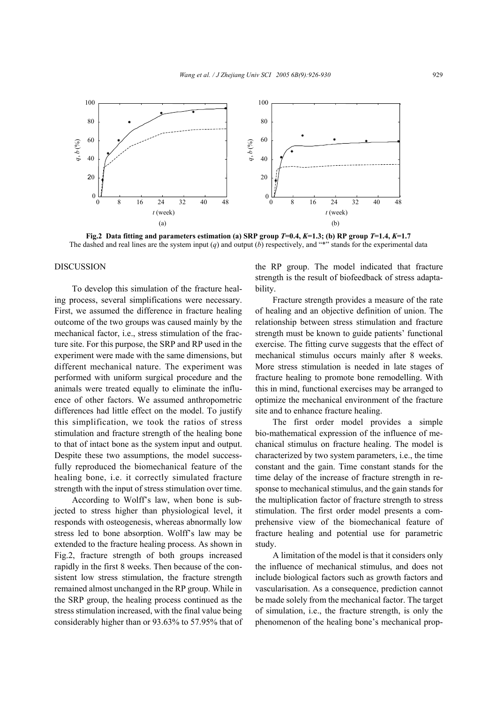

**Fig.2** Data fitting and parameters estimation (a) SRP group  $T=0.4$ ,  $K=1.3$ ; (b) RP group  $T=1.4$ ,  $K=1.7$ The dashed and real lines are the system input  $(q)$  and output  $(b)$  respectively, and "\*" stands for the experimental data

#### DISCUSSION

To develop this simulation of the fracture healing process, several simplifications were necessary. First, we assumed the difference in fracture healing outcome of the two groups was caused mainly by the mechanical factor, i.e., stress stimulation of the fracture site. For this purpose, the SRP and RP used in the experiment were made with the same dimensions, but different mechanical nature. The experiment was performed with uniform surgical procedure and the animals were treated equally to eliminate the influence of other factors. We assumed anthropometric differences had little effect on the model. To justify this simplification, we took the ratios of stress stimulation and fracture strength of the healing bone to that of intact bone as the system input and output. Despite these two assumptions, the model successfully reproduced the biomechanical feature of the healing bone, i.e. it correctly simulated fracture strength with the input of stress stimulation over time.

According to Wolff's law, when bone is subjected to stress higher than physiological level, it responds with osteogenesis, whereas abnormally low stress led to bone absorption. Wolff's law may be extended to the fracture healing process. As shown in Fig.2, fracture strength of both groups increased rapidly in the first 8 weeks. Then because of the consistent low stress stimulation, the fracture strength remained almost unchanged in the RP group. While in the SRP group, the healing process continued as the stress stimulation increased, with the final value being considerably higher than or 93.63% to 57.95% that of the RP group. The model indicated that fracture strength is the result of biofeedback of stress adaptability.

Fracture strength provides a measure of the rate of healing and an objective definition of union. The relationship between stress stimulation and fracture strength must be known to guide patients' functional exercise. The fitting curve suggests that the effect of mechanical stimulus occurs mainly after 8 weeks. More stress stimulation is needed in late stages of fracture healing to promote bone remodelling. With this in mind, functional exercises may be arranged to optimize the mechanical environment of the fracture site and to enhance fracture healing.

The first order model provides a simple bio-mathematical expression of the influence of mechanical stimulus on fracture healing. The model is characterized by two system parameters, i.e., the time constant and the gain. Time constant stands for the time delay of the increase of fracture strength in response to mechanical stimulus, and the gain stands for the multiplication factor of fracture strength to stress stimulation. The first order model presents a comprehensive view of the biomechanical feature of fracture healing and potential use for parametric study.

A limitation of the model is that it considers only the influence of mechanical stimulus, and does not include biological factors such as growth factors and vascularisation. As a consequence, prediction cannot be made solely from the mechanical factor. The target of simulation, i.e., the fracture strength, is only the phenomenon of the healing bone's mechanical prop